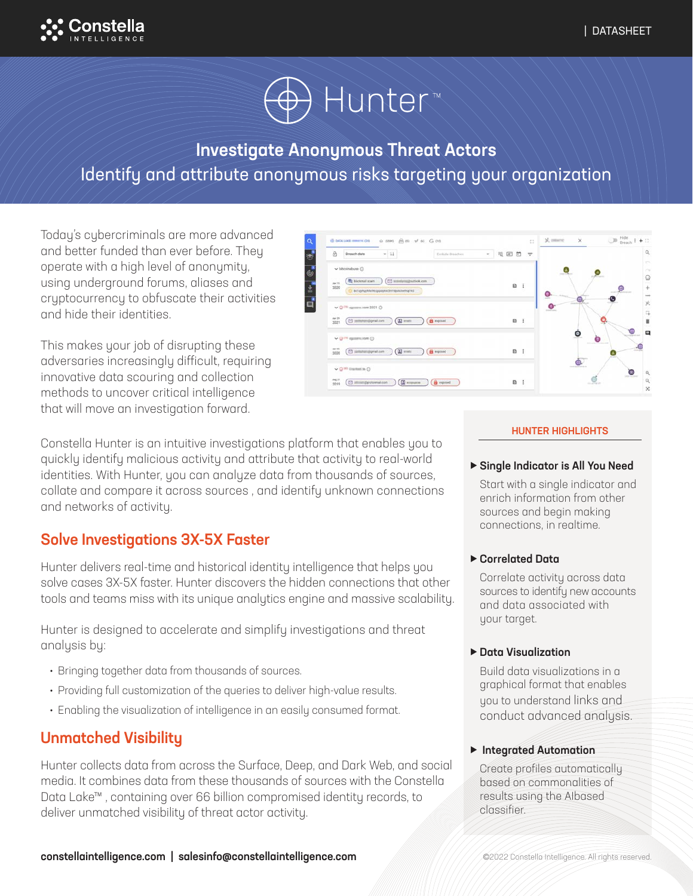



# Investigate Anonymous Threat Actors Identify and attribute anonymous risks targeting your organization

Today's cybercriminals are more advanced and better funded than ever before. They operate with a high level of anonymity, using underground forums, aliases and cryptocurrency to obfuscate their activities and hide their identities.

This makes your job of disrupting these adversaries increasingly difficult, requiring innovative data scouring and collection methods to uncover critical intelligence that will move an investigation forward.



Constella Hunter is an intuitive investigations platform that enables you to quickly identify malicious activity and attribute that activity to real-world identities. With Hunter, you can analyze data from thousands of sources, collate and compare it across sources , and identify unknown connections and networks of activity.

# Solve Investigations 3X-5X Faster

Hunter delivers real-time and historical identity intelligence that helps you solve cases 3X-5X faster. Hunter discovers the hidden connections that other tools and teams miss with its unique analytics engine and massive scalability.

Hunter is designed to accelerate and simplify investigations and threat analysis by:

- Bringing together data from thousands of sources.
- Providing full customization of the queries to deliver high-value results.
- Enabling the visualization of intelligence in an easily consumed format.

### Unmatched Visibility

Hunter collects data from across the Surface, Deep, and Dark Web, and social media. It combines data from these thousands of sources with the Constella Data Lake™ , containing over 66 billion compromised identity records, to deliver unmatched visibility of threat actor activity.

#### HUNTER HIGHLIGHTS

Single Indicator is All You Need

Start with a single indicator and enrich information from other sources and begin making connections, in realtime.

### Correlated Data

Correlate activity across data sources to identify new accounts and data associated with your target.

### ▶ Data Visualization

Build data visualizations in a graphical format that enables you to understand links and conduct advanced analysis.

### **Integrated Automation**

Create profiles automatically based on commonalities of results using the AIbased classifier.